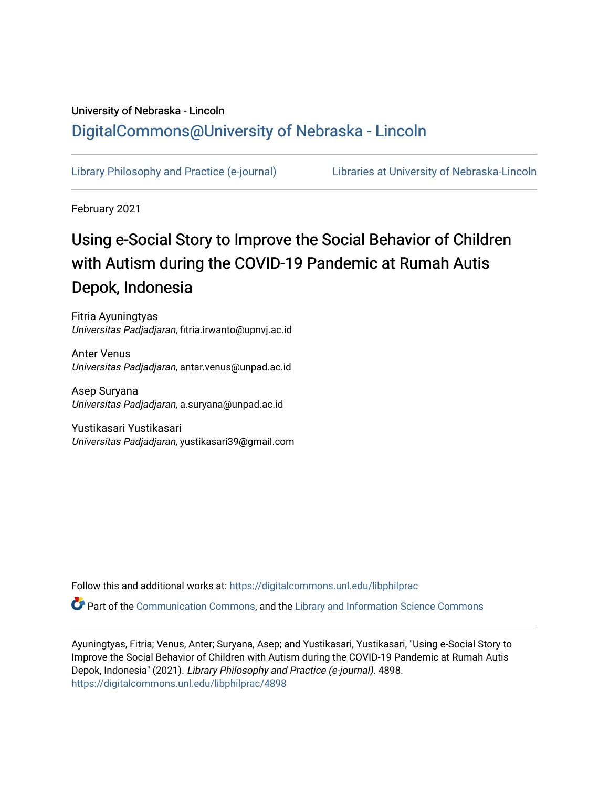# University of Nebraska - Lincoln [DigitalCommons@University of Nebraska - Lincoln](https://digitalcommons.unl.edu/)

[Library Philosophy and Practice \(e-journal\)](https://digitalcommons.unl.edu/libphilprac) [Libraries at University of Nebraska-Lincoln](https://digitalcommons.unl.edu/libraries) 

February 2021

# Using e-Social Story to Improve the Social Behavior of Children with Autism during the COVID-19 Pandemic at Rumah Autis Depok, Indonesia

Fitria Ayuningtyas Universitas Padjadjaran, fitria.irwanto@upnvj.ac.id

Anter Venus Universitas Padjadjaran, antar.venus@unpad.ac.id

Asep Suryana Universitas Padjadjaran, a.suryana@unpad.ac.id

Yustikasari Yustikasari Universitas Padjadjaran, yustikasari39@gmail.com

Follow this and additional works at: [https://digitalcommons.unl.edu/libphilprac](https://digitalcommons.unl.edu/libphilprac?utm_source=digitalcommons.unl.edu%2Flibphilprac%2F4898&utm_medium=PDF&utm_campaign=PDFCoverPages) 

Part of the [Communication Commons,](http://network.bepress.com/hgg/discipline/325?utm_source=digitalcommons.unl.edu%2Flibphilprac%2F4898&utm_medium=PDF&utm_campaign=PDFCoverPages) and the [Library and Information Science Commons](http://network.bepress.com/hgg/discipline/1018?utm_source=digitalcommons.unl.edu%2Flibphilprac%2F4898&utm_medium=PDF&utm_campaign=PDFCoverPages)

Ayuningtyas, Fitria; Venus, Anter; Suryana, Asep; and Yustikasari, Yustikasari, "Using e-Social Story to Improve the Social Behavior of Children with Autism during the COVID-19 Pandemic at Rumah Autis Depok, Indonesia" (2021). Library Philosophy and Practice (e-journal). 4898. [https://digitalcommons.unl.edu/libphilprac/4898](https://digitalcommons.unl.edu/libphilprac/4898?utm_source=digitalcommons.unl.edu%2Flibphilprac%2F4898&utm_medium=PDF&utm_campaign=PDFCoverPages)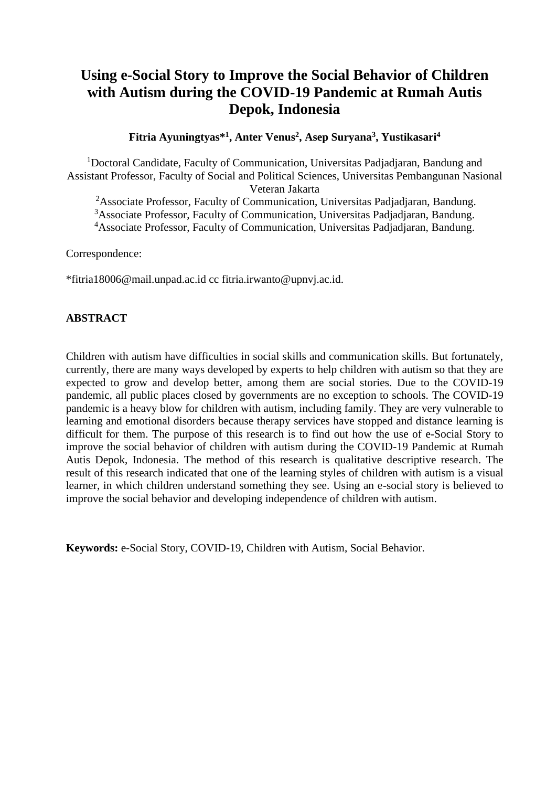# **Using e-Social Story to Improve the Social Behavior of Children with Autism during the COVID-19 Pandemic at Rumah Autis Depok, Indonesia**

**Fitria Ayuningtyas\*<sup>1</sup> , Anter Venus<sup>2</sup> , Asep Suryana<sup>3</sup> , Yustikasari<sup>4</sup>**

<sup>1</sup>Doctoral Candidate, Faculty of Communication, Universitas Padjadjaran, Bandung and Assistant Professor, Faculty of Social and Political Sciences, Universitas Pembangunan Nasional Veteran Jakarta

<sup>2</sup>Associate Professor, Faculty of Communication, Universitas Padjadjaran, Bandung.

<sup>3</sup>Associate Professor, Faculty of Communication, Universitas Padjadjaran, Bandung.

<sup>4</sup>Associate Professor, Faculty of Communication, Universitas Padjadjaran, Bandung.

Correspondence:

\*fitria18006@mail.unpad.ac.id cc fitria.irwanto@upnvj.ac.id.

# **ABSTRACT**

Children with autism have difficulties in social skills and communication skills. But fortunately, currently, there are many ways developed by experts to help children with autism so that they are expected to grow and develop better, among them are social stories. Due to the COVID-19 pandemic, all public places closed by governments are no exception to schools. The COVID-19 pandemic is a heavy blow for children with autism, including family. They are very vulnerable to learning and emotional disorders because therapy services have stopped and distance learning is difficult for them. The purpose of this research is to find out how the use of e-Social Story to improve the social behavior of children with autism during the COVID-19 Pandemic at Rumah Autis Depok, Indonesia. The method of this research is qualitative descriptive research. The result of this research indicated that one of the learning styles of children with autism is a visual learner, in which children understand something they see. Using an e-social story is believed to improve the social behavior and developing independence of children with autism.

**Keywords:** e-Social Story, COVID-19, Children with Autism, Social Behavior.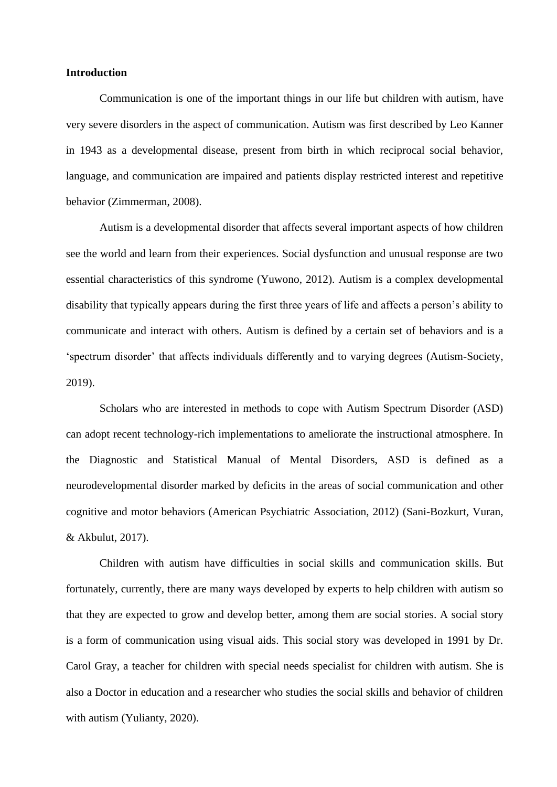## **Introduction**

Communication is one of the important things in our life but children with autism, have very severe disorders in the aspect of communication. Autism was first described by Leo Kanner in 1943 as a developmental disease, present from birth in which reciprocal social behavior, language, and communication are impaired and patients display restricted interest and repetitive behavior (Zimmerman, 2008).

Autism is a developmental disorder that affects several important aspects of how children see the world and learn from their experiences. Social dysfunction and unusual response are two essential characteristics of this syndrome (Yuwono, 2012). Autism is a complex developmental disability that typically appears during the first three years of life and affects a person's ability to communicate and interact with others. Autism is defined by a certain set of behaviors and is a 'spectrum disorder' that affects individuals differently and to varying degrees (Autism-Society, 2019).

Scholars who are interested in methods to cope with Autism Spectrum Disorder (ASD) can adopt recent technology-rich implementations to ameliorate the instructional atmosphere. In the Diagnostic and Statistical Manual of Mental Disorders, ASD is defined as a neurodevelopmental disorder marked by deficits in the areas of social communication and other cognitive and motor behaviors (American Psychiatric Association, 2012) (Sani-Bozkurt, Vuran, & Akbulut, 2017).

Children with autism have difficulties in social skills and communication skills. But fortunately, currently, there are many ways developed by experts to help children with autism so that they are expected to grow and develop better, among them are social stories. A social story is a form of communication using visual aids. This social story was developed in 1991 by Dr. Carol Gray, a teacher for children with special needs specialist for children with autism. She is also a Doctor in education and a researcher who studies the social skills and behavior of children with autism (Yulianty, 2020).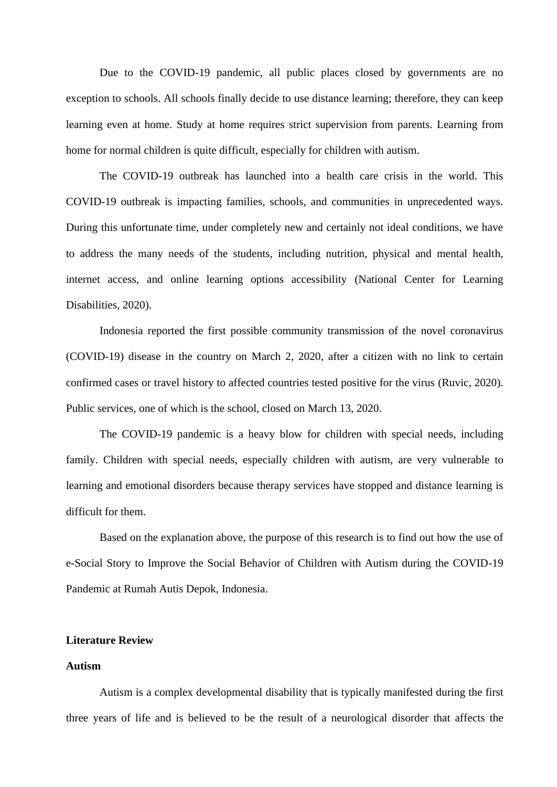Due to the COVID-19 pandemic, all public places closed by governments are no exception to schools. All schools finally decide to use distance learning; therefore, they can keep learning even at home. Study at home requires strict supervision from parents. Learning from home for normal children is quite difficult, especially for children with autism.

The COVID-19 outbreak has launched into a health care crisis in the world. This COVID-19 outbreak is impacting families, schools, and communities in unprecedented ways. During this unfortunate time, under completely new and certainly not ideal conditions, we have to address the many needs of the students, including nutrition, physical and mental health, internet access, and online learning options accessibility (National Center for Learning Disabilities, 2020).

Indonesia reported the first possible community transmission of the novel coronavirus (COVID-19) disease in the country on March 2, 2020, after a citizen with no link to certain confirmed cases or travel history to affected countries tested positive for the virus (Ruvic, 2020). Public services, one of which is the school, closed on March 13, 2020.

The COVID-19 pandemic is a heavy blow for children with special needs, including family. Children with special needs, especially children with autism, are very vulnerable to learning and emotional disorders because therapy services have stopped and distance learning is difficult for them.

Based on the explanation above, the purpose of this research is to find out how the use of e-Social Story to Improve the Social Behavior of Children with Autism during the COVID-19 Pandemic at Rumah Autis Depok, Indonesia.

#### **Literature Review**

#### **Autism**

Autism is a complex developmental disability that is typically manifested during the first three years of life and is believed to be the result of a neurological disorder that affects the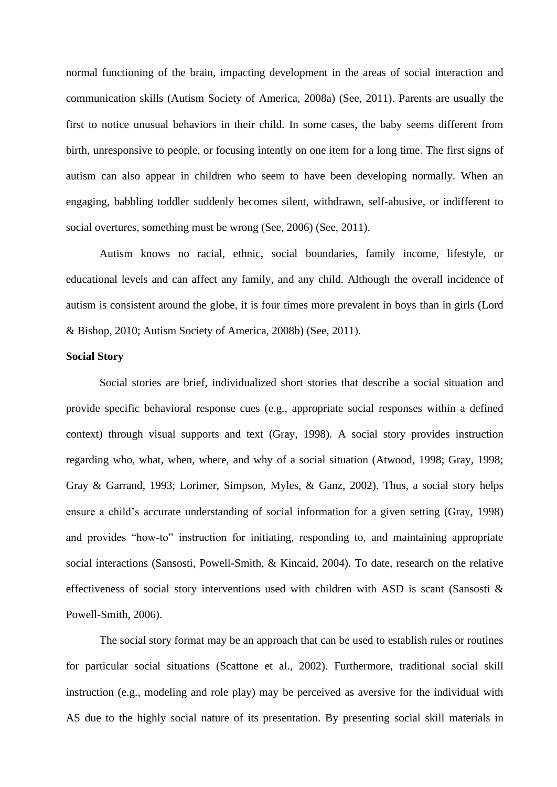normal functioning of the brain, impacting development in the areas of social interaction and communication skills (Autism Society of America, 2008a) (See, 2011). Parents are usually the first to notice unusual behaviors in their child. In some cases, the baby seems different from birth, unresponsive to people, or focusing intently on one item for a long time. The first signs of autism can also appear in children who seem to have been developing normally. When an engaging, babbling toddler suddenly becomes silent, withdrawn, self-abusive, or indifferent to social overtures, something must be wrong (See, 2006) (See, 2011).

Autism knows no racial, ethnic, social boundaries, family income, lifestyle, or educational levels and can affect any family, and any child. Although the overall incidence of autism is consistent around the globe, it is four times more prevalent in boys than in girls (Lord & Bishop, 2010; Autism Society of America, 2008b) (See, 2011).

#### **Social Story**

Social stories are brief, individualized short stories that describe a social situation and provide specific behavioral response cues (e.g., appropriate social responses within a defined context) through visual supports and text (Gray, 1998). A social story provides instruction regarding who, what, when, where, and why of a social situation (Atwood, 1998; Gray, 1998; Gray & Garrand, 1993; Lorimer, Simpson, Myles, & Ganz, 2002). Thus, a social story helps ensure a child's accurate understanding of social information for a given setting (Gray, 1998) and provides "how-to" instruction for initiating, responding to, and maintaining appropriate social interactions (Sansosti, Powell-Smith, & Kincaid, 2004). To date, research on the relative effectiveness of social story interventions used with children with ASD is scant (Sansosti & Powell-Smith, 2006).

The social story format may be an approach that can be used to establish rules or routines for particular social situations (Scattone et al., 2002). Furthermore, traditional social skill instruction (e.g., modeling and role play) may be perceived as aversive for the individual with AS due to the highly social nature of its presentation. By presenting social skill materials in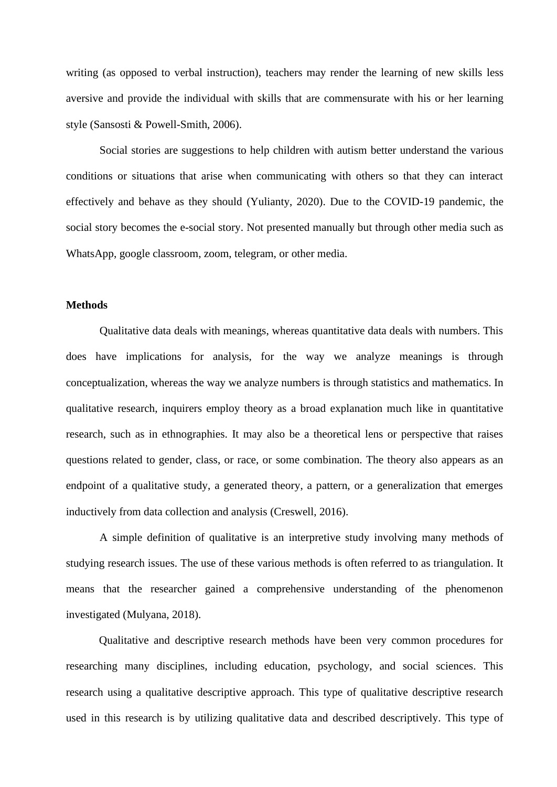writing (as opposed to verbal instruction), teachers may render the learning of new skills less aversive and provide the individual with skills that are commensurate with his or her learning style (Sansosti & Powell-Smith, 2006).

Social stories are suggestions to help children with autism better understand the various conditions or situations that arise when communicating with others so that they can interact effectively and behave as they should (Yulianty, 2020). Due to the COVID-19 pandemic, the social story becomes the e-social story. Not presented manually but through other media such as WhatsApp, google classroom, zoom, telegram, or other media.

## **Methods**

Qualitative data deals with meanings, whereas quantitative data deals with numbers. This does have implications for analysis, for the way we analyze meanings is through conceptualization, whereas the way we analyze numbers is through statistics and mathematics. In qualitative research, inquirers employ theory as a broad explanation much like in quantitative research, such as in ethnographies. It may also be a theoretical lens or perspective that raises questions related to gender, class, or race, or some combination. The theory also appears as an endpoint of a qualitative study, a generated theory, a pattern, or a generalization that emerges inductively from data collection and analysis (Creswell, 2016).

A simple definition of qualitative is an interpretive study involving many methods of studying research issues. The use of these various methods is often referred to as triangulation. It means that the researcher gained a comprehensive understanding of the phenomenon investigated (Mulyana, 2018).

Qualitative and descriptive research methods have been very common procedures for researching many disciplines, including education, psychology, and social sciences. This research using a qualitative descriptive approach. This type of qualitative descriptive research used in this research is by utilizing qualitative data and described descriptively. This type of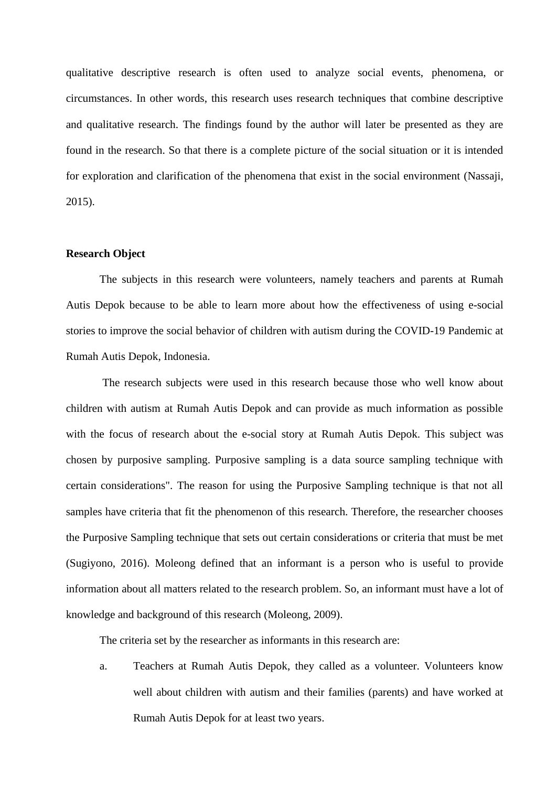qualitative descriptive research is often used to analyze social events, phenomena, or circumstances. In other words, this research uses research techniques that combine descriptive and qualitative research. The findings found by the author will later be presented as they are found in the research. So that there is a complete picture of the social situation or it is intended for exploration and clarification of the phenomena that exist in the social environment (Nassaji, 2015).

#### **Research Object**

The subjects in this research were volunteers, namely teachers and parents at Rumah Autis Depok because to be able to learn more about how the effectiveness of using e-social stories to improve the social behavior of children with autism during the COVID-19 Pandemic at Rumah Autis Depok, Indonesia.

The research subjects were used in this research because those who well know about children with autism at Rumah Autis Depok and can provide as much information as possible with the focus of research about the e-social story at Rumah Autis Depok. This subject was chosen by purposive sampling. Purposive sampling is a data source sampling technique with certain considerations". The reason for using the Purposive Sampling technique is that not all samples have criteria that fit the phenomenon of this research. Therefore, the researcher chooses the Purposive Sampling technique that sets out certain considerations or criteria that must be met (Sugiyono, 2016). Moleong defined that an informant is a person who is useful to provide information about all matters related to the research problem. So, an informant must have a lot of knowledge and background of this research (Moleong, 2009).

The criteria set by the researcher as informants in this research are:

a. Teachers at Rumah Autis Depok, they called as a volunteer. Volunteers know well about children with autism and their families (parents) and have worked at Rumah Autis Depok for at least two years.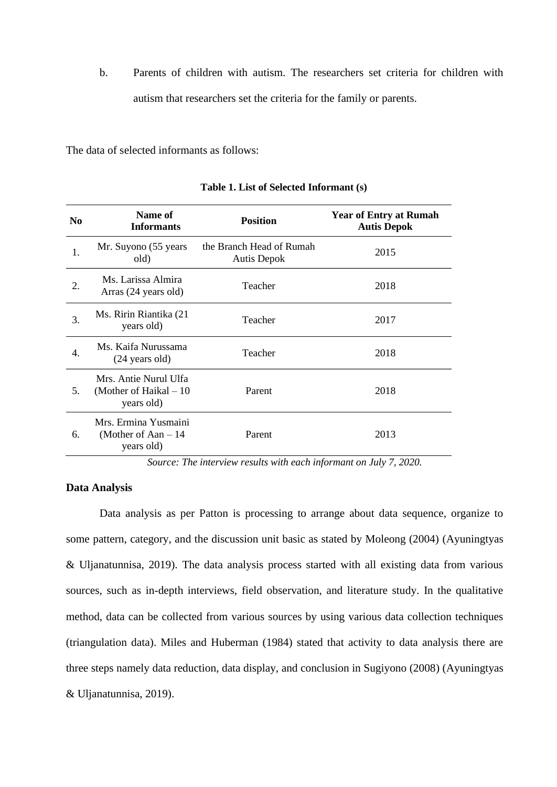b. Parents of children with autism. The researchers set criteria for children with autism that researchers set the criteria for the family or parents.

The data of selected informants as follows:

| N <sub>0</sub> | Name of<br><b>Informants</b>                                   | <b>Position</b>                         | <b>Year of Entry at Rumah</b><br><b>Autis Depok</b> |
|----------------|----------------------------------------------------------------|-----------------------------------------|-----------------------------------------------------|
| 1.             | Mr. Suyono (55 years)<br>old)                                  | the Branch Head of Rumah<br>Autis Depok | 2015                                                |
| 2.             | Ms. Larissa Almira<br>Arras (24 years old)                     | Teacher                                 | 2018                                                |
| 3.             | Ms. Ririn Riantika (21<br>years old)                           | Teacher                                 | 2017                                                |
| 4.             | Ms. Kaifa Nurussama<br>$(24 \text{ years old})$                | Teacher                                 | 2018                                                |
| 5.             | Mrs. Antie Nurul Ulfa<br>(Mother of Haikal $-10$<br>years old) | Parent                                  | 2018                                                |
| 6.             | Mrs. Ermina Yusmaini<br>(Mother of Aan $-14$ )<br>years old)   | Parent                                  | 2013                                                |

**Table 1. List of Selected Informant (s)**

*Source: The interview results with each informant on July 7, 2020.*

# **Data Analysis**

Data analysis as per Patton is processing to arrange about data sequence, organize to some pattern, category, and the discussion unit basic as stated by Moleong (2004) (Ayuningtyas & Uljanatunnisa, 2019). The data analysis process started with all existing data from various sources, such as in-depth interviews, field observation, and literature study. In the qualitative method, data can be collected from various sources by using various data collection techniques (triangulation data). Miles and Huberman (1984) stated that activity to data analysis there are three steps namely data reduction, data display, and conclusion in Sugiyono (2008) (Ayuningtyas & Uljanatunnisa, 2019).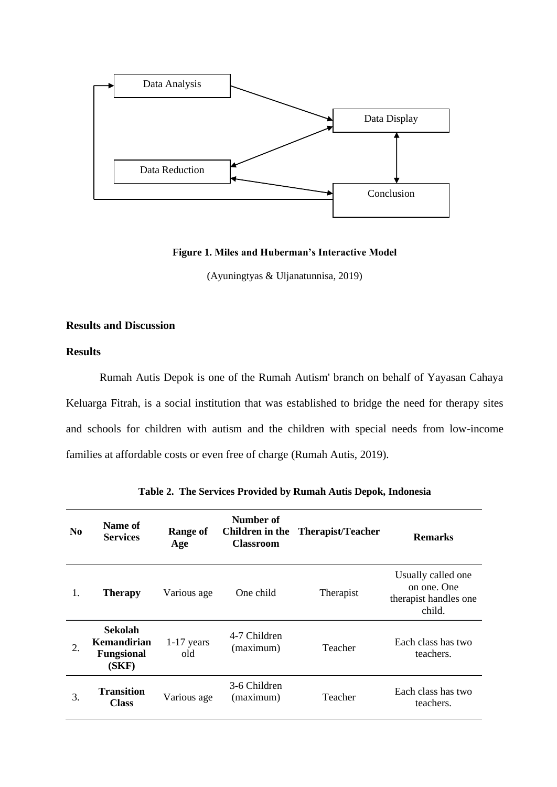

#### **Figure 1. Miles and Huberman's Interactive Model**

(Ayuningtyas & Uljanatunnisa, 2019)

# **Results and Discussion**

#### **Results**

Rumah Autis Depok is one of the Rumah Autism' branch on behalf of Yayasan Cahaya Keluarga Fitrah, is a social institution that was established to bridge the need for therapy sites and schools for children with autism and the children with special needs from low-income families at affordable costs or even free of charge (Rumah Autis, 2019).

| N <sub>0</sub> | Name of<br><b>Services</b>                           | <b>Range of</b><br>Age | Number of<br><b>Classroom</b> | <b>Children in the</b> Therapist/Teacher | <b>Remarks</b>                                                       |
|----------------|------------------------------------------------------|------------------------|-------------------------------|------------------------------------------|----------------------------------------------------------------------|
| 1.             | <b>Therapy</b>                                       | Various age            | One child                     | Therapist                                | Usually called one<br>on one. One<br>therapist handles one<br>child. |
| 2.             | Sekolah<br>Kemandirian<br><b>Fungsional</b><br>(SKF) | $1-17$ years<br>old    | 4-7 Children<br>(maximum)     | Teacher                                  | Each class has two<br>teachers.                                      |
| 3.             | Transition<br><b>Class</b>                           | Various age            | 3-6 Children<br>(maximum)     | Teacher                                  | Each class has two<br>teachers.                                      |

**Table 2. The Services Provided by Rumah Autis Depok, Indonesia**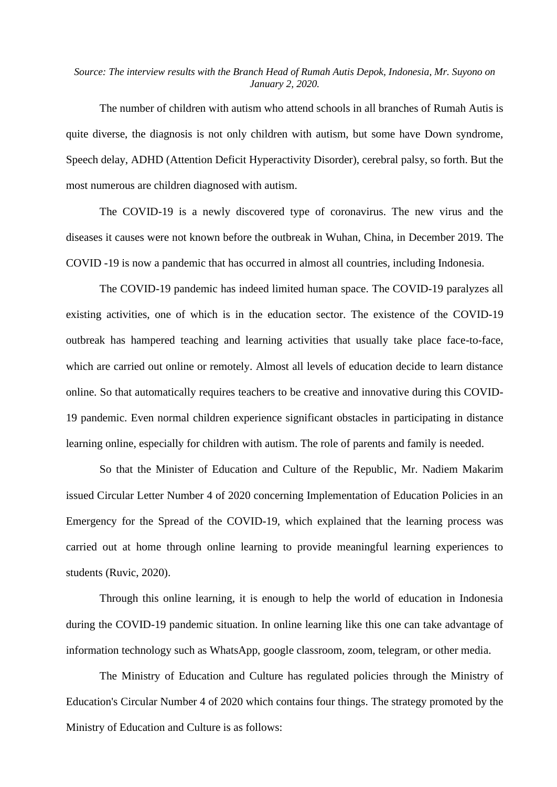## *Source: The interview results with the Branch Head of Rumah Autis Depok, Indonesia, Mr. Suyono on January 2, 2020.*

The number of children with autism who attend schools in all branches of Rumah Autis is quite diverse, the diagnosis is not only children with autism, but some have Down syndrome, Speech delay, ADHD (Attention Deficit Hyperactivity Disorder), cerebral palsy, so forth. But the most numerous are children diagnosed with autism.

The COVID-19 is a newly discovered type of coronavirus. The new virus and the diseases it causes were not known before the outbreak in Wuhan, China, in December 2019. The COVID -19 is now a pandemic that has occurred in almost all countries, including Indonesia.

The COVID-19 pandemic has indeed limited human space. The COVID-19 paralyzes all existing activities, one of which is in the education sector. The existence of the COVID-19 outbreak has hampered teaching and learning activities that usually take place face-to-face, which are carried out online or remotely. Almost all levels of education decide to learn distance online. So that automatically requires teachers to be creative and innovative during this COVID-19 pandemic. Even normal children experience significant obstacles in participating in distance learning online, especially for children with autism. The role of parents and family is needed.

So that the Minister of Education and Culture of the Republic, Mr. Nadiem Makarim issued Circular Letter Number 4 of 2020 concerning Implementation of Education Policies in an Emergency for the Spread of the COVID-19, which explained that the learning process was carried out at home through online learning to provide meaningful learning experiences to students (Ruvic, 2020).

Through this online learning, it is enough to help the world of education in Indonesia during the COVID-19 pandemic situation. In online learning like this one can take advantage of information technology such as WhatsApp, google classroom, zoom, telegram, or other media.

The Ministry of Education and Culture has regulated policies through the Ministry of Education's Circular Number 4 of 2020 which contains four things. The strategy promoted by the Ministry of Education and Culture is as follows: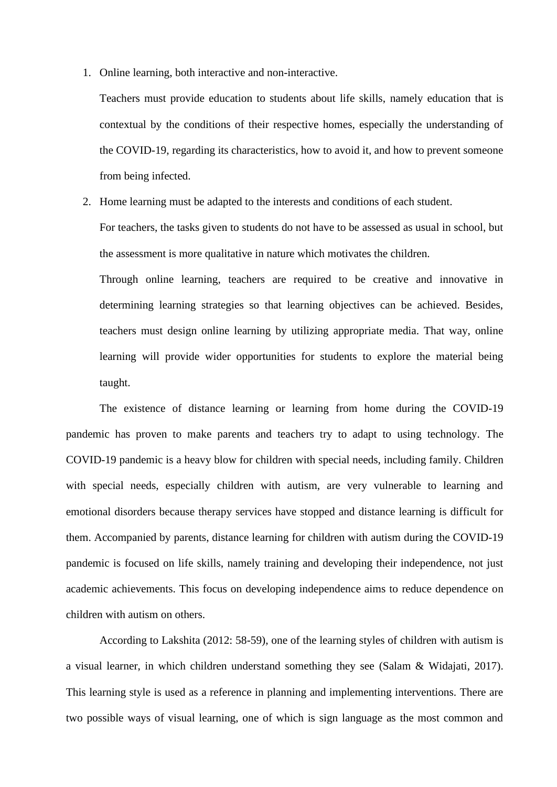1. Online learning, both interactive and non-interactive.

Teachers must provide education to students about life skills, namely education that is contextual by the conditions of their respective homes, especially the understanding of the COVID-19, regarding its characteristics, how to avoid it, and how to prevent someone from being infected.

2. Home learning must be adapted to the interests and conditions of each student.

For teachers, the tasks given to students do not have to be assessed as usual in school, but the assessment is more qualitative in nature which motivates the children.

Through online learning, teachers are required to be creative and innovative in determining learning strategies so that learning objectives can be achieved. Besides, teachers must design online learning by utilizing appropriate media. That way, online learning will provide wider opportunities for students to explore the material being taught.

The existence of distance learning or learning from home during the COVID-19 pandemic has proven to make parents and teachers try to adapt to using technology. The COVID-19 pandemic is a heavy blow for children with special needs, including family. Children with special needs, especially children with autism, are very vulnerable to learning and emotional disorders because therapy services have stopped and distance learning is difficult for them. Accompanied by parents, distance learning for children with autism during the COVID-19 pandemic is focused on life skills, namely training and developing their independence, not just academic achievements. This focus on developing independence aims to reduce dependence on children with autism on others.

According to Lakshita (2012: 58-59), one of the learning styles of children with autism is a visual learner, in which children understand something they see (Salam & Widajati, 2017). This learning style is used as a reference in planning and implementing interventions. There are two possible ways of visual learning, one of which is sign language as the most common and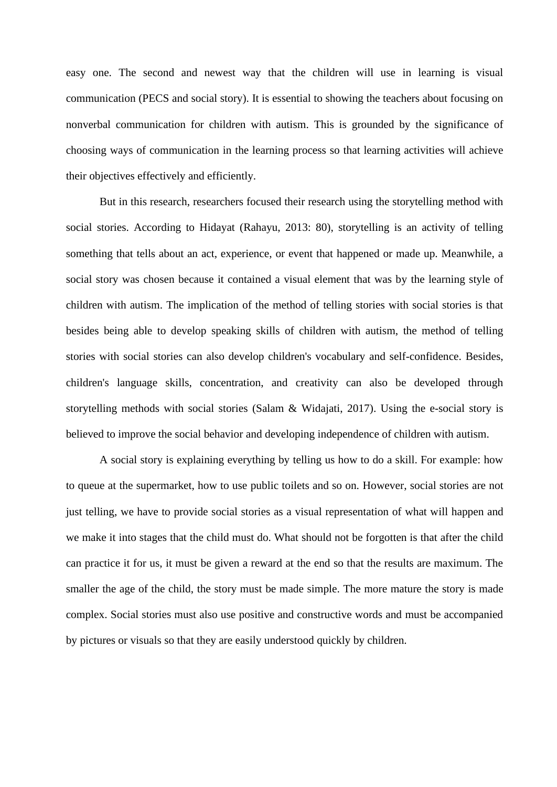easy one. The second and newest way that the children will use in learning is visual communication (PECS and social story). It is essential to showing the teachers about focusing on nonverbal communication for children with autism. This is grounded by the significance of choosing ways of communication in the learning process so that learning activities will achieve their objectives effectively and efficiently.

But in this research, researchers focused their research using the storytelling method with social stories. According to Hidayat (Rahayu, 2013: 80), storytelling is an activity of telling something that tells about an act, experience, or event that happened or made up. Meanwhile, a social story was chosen because it contained a visual element that was by the learning style of children with autism. The implication of the method of telling stories with social stories is that besides being able to develop speaking skills of children with autism, the method of telling stories with social stories can also develop children's vocabulary and self-confidence. Besides, children's language skills, concentration, and creativity can also be developed through storytelling methods with social stories (Salam & Widajati, 2017). Using the e-social story is believed to improve the social behavior and developing independence of children with autism.

A social story is explaining everything by telling us how to do a skill. For example: how to queue at the supermarket, how to use public toilets and so on. However, social stories are not just telling, we have to provide social stories as a visual representation of what will happen and we make it into stages that the child must do. What should not be forgotten is that after the child can practice it for us, it must be given a reward at the end so that the results are maximum. The smaller the age of the child, the story must be made simple. The more mature the story is made complex. Social stories must also use positive and constructive words and must be accompanied by pictures or visuals so that they are easily understood quickly by children.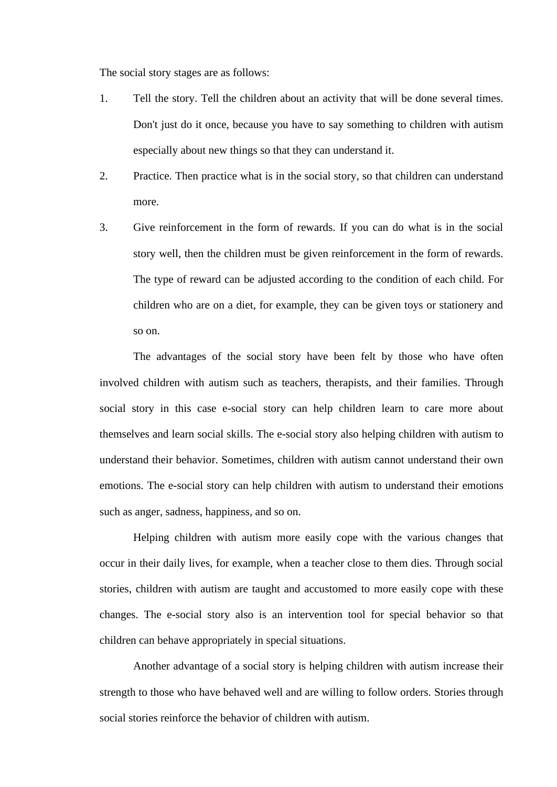The social story stages are as follows:

- 1. Tell the story. Tell the children about an activity that will be done several times. Don't just do it once, because you have to say something to children with autism especially about new things so that they can understand it.
- 2. Practice. Then practice what is in the social story, so that children can understand more.
- 3. Give reinforcement in the form of rewards. If you can do what is in the social story well, then the children must be given reinforcement in the form of rewards. The type of reward can be adjusted according to the condition of each child. For children who are on a diet, for example, they can be given toys or stationery and so on.

The advantages of the social story have been felt by those who have often involved children with autism such as teachers, therapists, and their families. Through social story in this case e-social story can help children learn to care more about themselves and learn social skills. The e-social story also helping children with autism to understand their behavior. Sometimes, children with autism cannot understand their own emotions. The e-social story can help children with autism to understand their emotions such as anger, sadness, happiness, and so on.

Helping children with autism more easily cope with the various changes that occur in their daily lives, for example, when a teacher close to them dies. Through social stories, children with autism are taught and accustomed to more easily cope with these changes. The e-social story also is an intervention tool for special behavior so that children can behave appropriately in special situations.

Another advantage of a social story is helping children with autism increase their strength to those who have behaved well and are willing to follow orders. Stories through social stories reinforce the behavior of children with autism.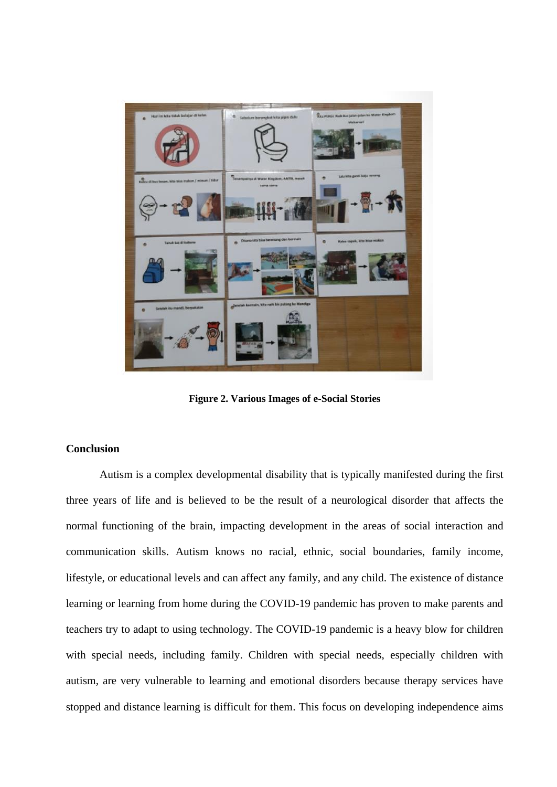

**Figure 2. Various Images of e-Social Stories**

# **Conclusion**

Autism is a complex developmental disability that is typically manifested during the first three years of life and is believed to be the result of a neurological disorder that affects the normal functioning of the brain, impacting development in the areas of social interaction and communication skills. Autism knows no racial, ethnic, social boundaries, family income, lifestyle, or educational levels and can affect any family, and any child. The existence of distance learning or learning from home during the COVID-19 pandemic has proven to make parents and teachers try to adapt to using technology. The COVID-19 pandemic is a heavy blow for children with special needs, including family. Children with special needs, especially children with autism, are very vulnerable to learning and emotional disorders because therapy services have stopped and distance learning is difficult for them. This focus on developing independence aims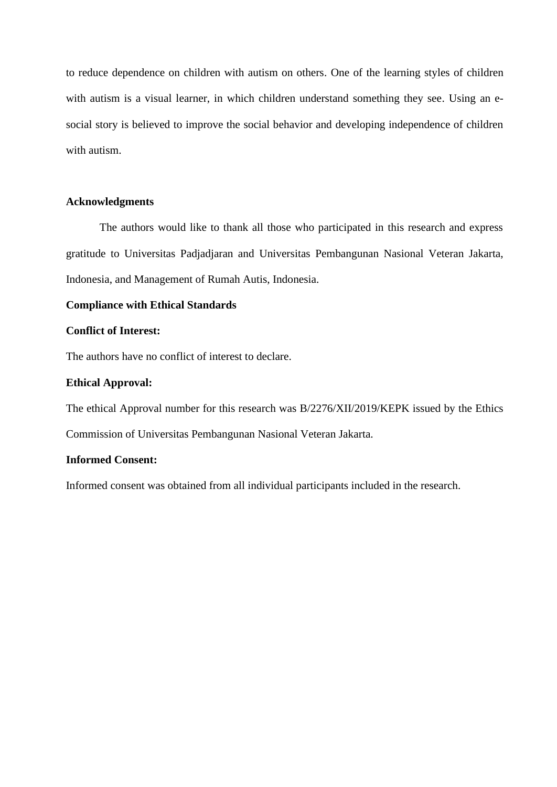to reduce dependence on children with autism on others. One of the learning styles of children with autism is a visual learner, in which children understand something they see. Using an esocial story is believed to improve the social behavior and developing independence of children with autism.

#### **Acknowledgments**

The authors would like to thank all those who participated in this research and express gratitude to Universitas Padjadjaran and Universitas Pembangunan Nasional Veteran Jakarta, Indonesia, and Management of Rumah Autis, Indonesia.

# **Compliance with Ethical Standards**

#### **Conflict of Interest:**

The authors have no conflict of interest to declare.

#### **Ethical Approval:**

The ethical Approval number for this research was B/2276/XII/2019/KEPK issued by the Ethics Commission of Universitas Pembangunan Nasional Veteran Jakarta.

# **Informed Consent:**

Informed consent was obtained from all individual participants included in the research.